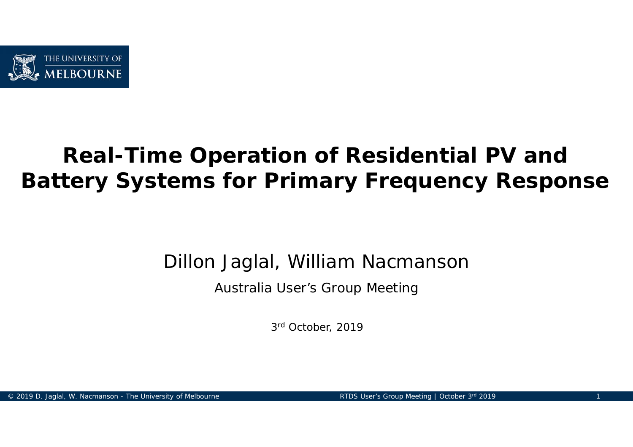

# **Real-Time Operation of Residential PV and Battery Systems for Primary Frequency Response**

Dillon Jaglal, William Nacmanson

Australia User's Group Meeting

3r<sup>d</sup> October, 2019

© 2019 D. Jaglal, W. Nacmanson - The University of Melbourne Research RTDS User's Group Meeting | October 3rd 2019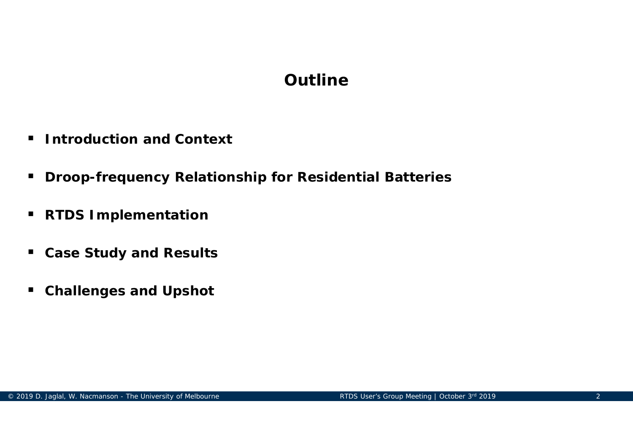# **Outline**

- $\blacksquare$ **Introduction and Context**
- **Droop-frequency Relationship for Residential Batteries**
- $\blacksquare$ **RTDS Implementation**
- **Case Study and Results**
- $\blacksquare$ **Challenges and Upshot**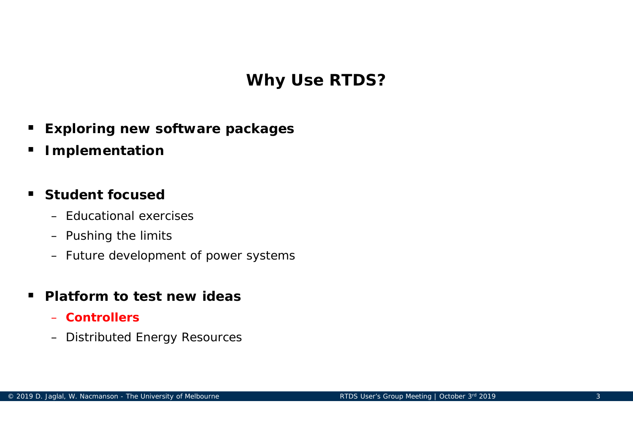# **Why Use RTDS?**

- $\blacksquare$ **Exploring new software packages**
- $\blacksquare$ **Implementation**

#### $\blacksquare$ **Student focused**

- Educational exercises
- Pushing the limits
- Future development of power systems

#### $\blacksquare$ **Platform to test new ideas**

- **Controllers**
- Distributed Energy Resources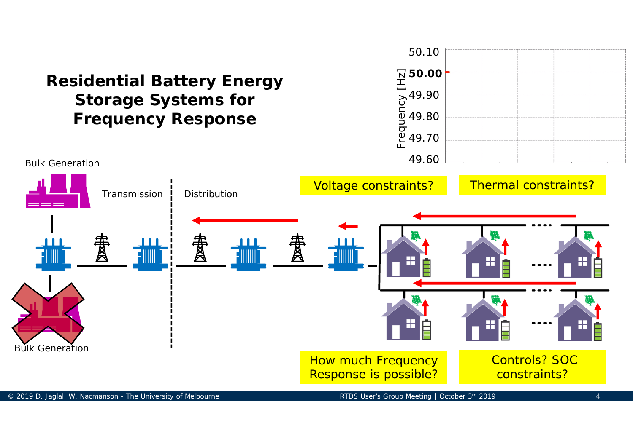

#### © 2019 D. Jaglal, W. Nacmanson - The University of Melbourne And American RTDS User's Group Meeting | October 3rd 2019 4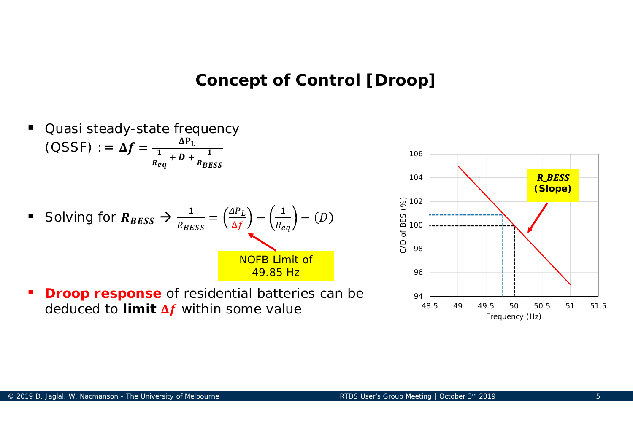#### **Concept of Control [Droop]**

- $\blacksquare$  Quasi steady-state frequency  $(\text{OSSF}) := \Delta f = \frac{\Delta P_L}{1}$  $\frac{1}{R_{eq}} + D + \frac{1}{R_{BESS}}$ Solving for  $R_{BESS} \rightarrow \frac{1}{R_{BESS}} = (\frac{\Delta P_L}{\Delta f}) - (\frac{1}{R_{eq}}) - (D_{eq})$ NOFB Limit of 49.85 Hz
- $\blacksquare$ **Droop response** of residential batteries can be deduced to **limit Δƒ** within some value

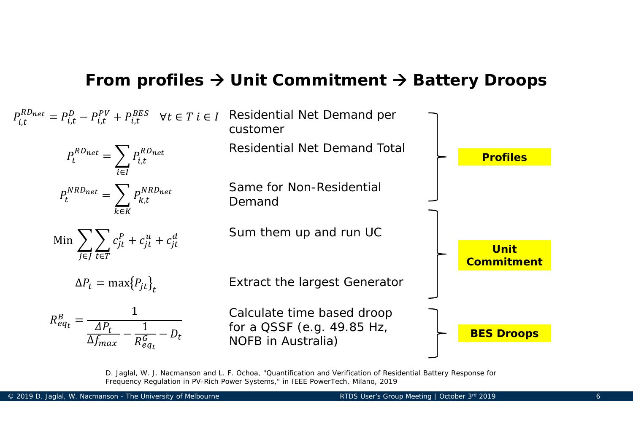#### **From profiles → Unit Commitment → Battery Droops**



D. Jaglal, W. J. Nacmanson and L. F. Ochoa, "Quantification and Verification of Residential Battery Response for Frequency Regulation in PV-Rich Power Systems," in IEEE PowerTech, Milano, 2019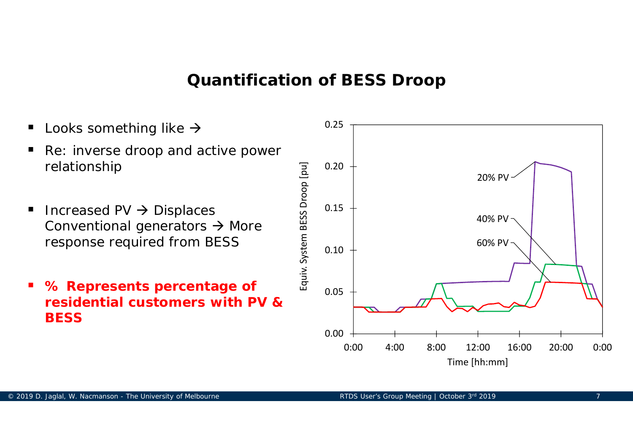#### **Quantification of BESS Droop**

- $\blacksquare$ Looks something like  $\rightarrow$
- $\blacksquare$  Re: inverse droop and active power relationship
- $\blacksquare$ Increased PV  $\rightarrow$  Displaces Conventional generators  $\rightarrow$  More response required from BESS
- $\blacksquare$  **% Represents percentage of residential customers with PV & BESS**

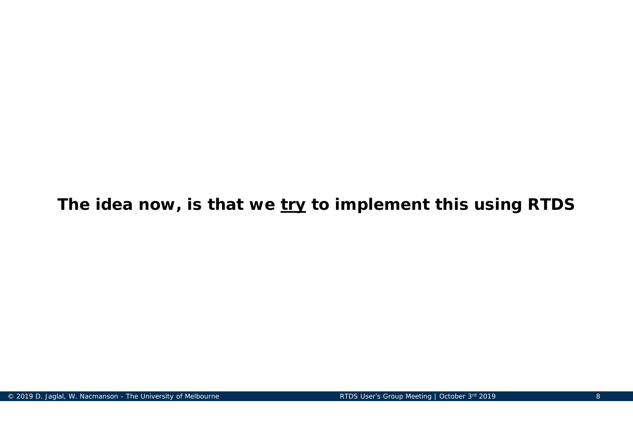**The idea now, is that we try to implement this using RTDS**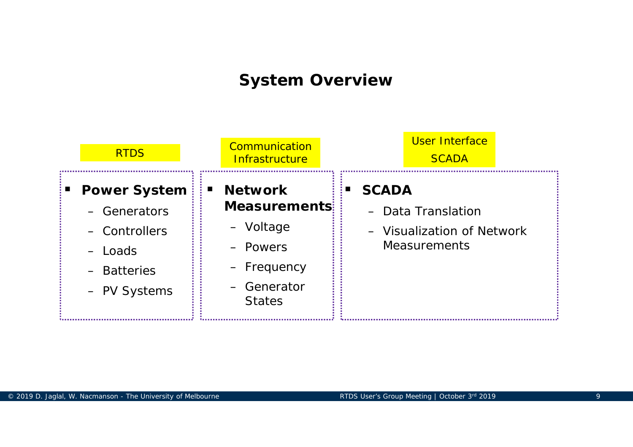### **System Overview**

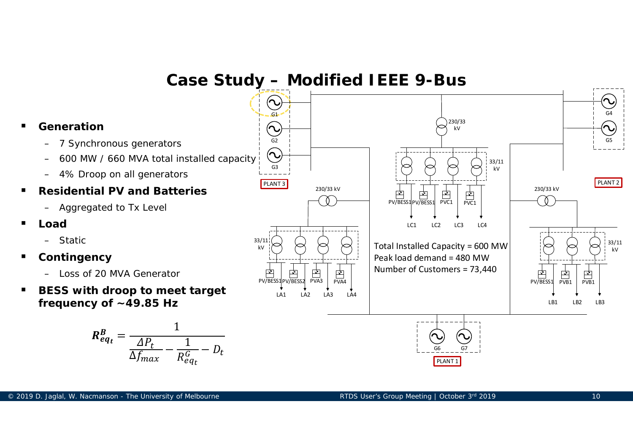**Case Study – Modified IEEE 9-Bus** G1G4230/33 **Generation** $\bigodot$ kVG5G2 7 Synchronous generators  $(\sim$ – 600 MW / 660 MVA total installed capacity 33/11 G3kV 4% Droop on all generators PLANT<sub>3</sub> PLANT 2 230/33 kV **Residential PV and Batteries**230/33 kV  $\overrightarrow{PP}$   $\overrightarrow{PP}$   $\overrightarrow{PP}$   $\overrightarrow{PVC1}$   $\overrightarrow{PVC1}$ - 0  $\theta$ – Aggregated to Tx Level LC1 LC2 LC3 LC4 33/11  $\begin{array}{cc} \mathbb{Z}^{11}[\bowtie] & \bowtie \end{array} \begin{array}{cc} \bowtie' & \bowtie \end{array} \begin{array}{cc} \bowtie' & \bowtie \end{array}$  Total Installed Capacity = 600 MW  $\begin{array}{cc} & \bowtie' & \bowtie' & \bowtie' \end{array}$ kV **Contingency** Peak load demand = 480 MWNumber of Customers = 73,440PV/BESS1PV/BESS2 PVA3 PVA4  $\overrightarrow{PV}$  PV/BESS1  $\overrightarrow{PVB1}$  $\frac{1}{PVB1}$ – Loss of 20 MVA Generator **BESS with droop to meet target**  LA1 LA2 LA3 LA4 **frequency of ~49.85 Hz** LB1 LB2 LB3  $R_{eq_t}^B = \frac{1}{\Delta P_t}$ 1  $\frac{1}{R_{eq_t}^G} - D_t$ G66 G7 െ  $\Delta f_{max}$ PLANT 1

 $\blacksquare$ 

п

■

п

 $\blacksquare$ 

–

–

**Load**

**Static** 

–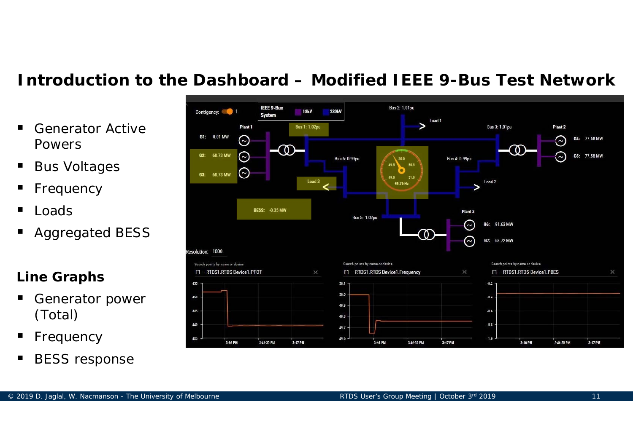### **Introduction to the Dashboard – Modified IEEE 9-Bus Test Network**

- $\blacksquare$  Generator Active Powers
- $\blacksquare$ Bus Voltages
- ٠ Frequency
- Ξ Loads
- ٠ Aggregated BESS

#### **Line Graphs**

- ٠ Generator power (Total)
- ٠ Frequency
- Ξ BESS response

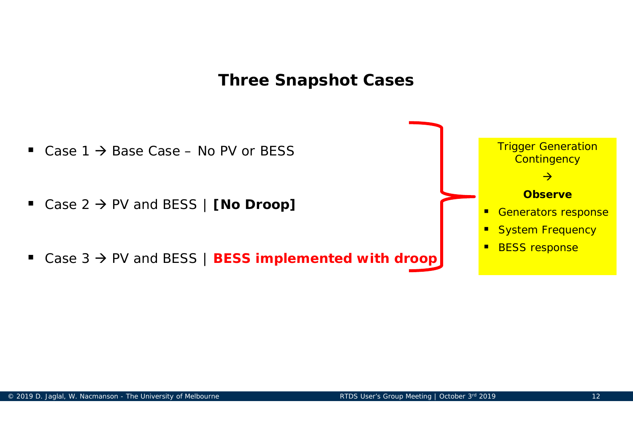### **Three Snapshot Cases**

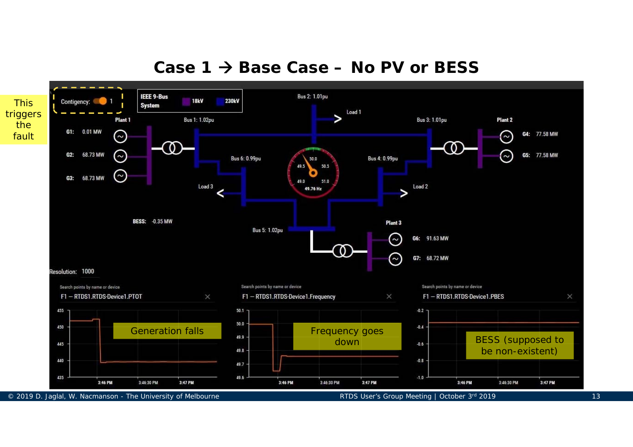#### **Case 1 Base Case – No PV or BESS**

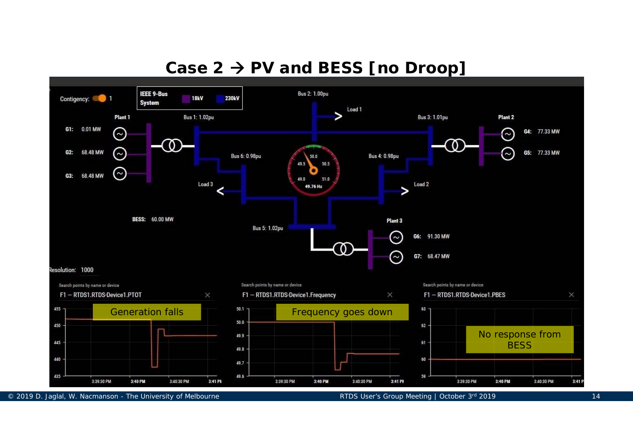# **Case 2 PV and BESS [no Droop]**

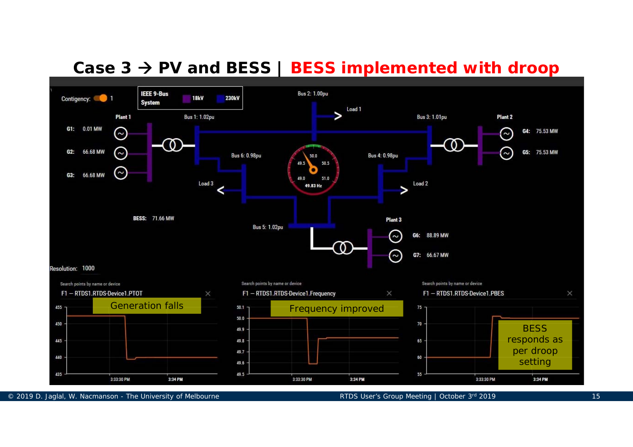# **Case 3 PV and BESS | BESS implemented with droop**



© 2019 D. Jaglal, W. Nacmanson - The University of Melbourne Review RTDS User's Group Meeting | October 3rd 2019 15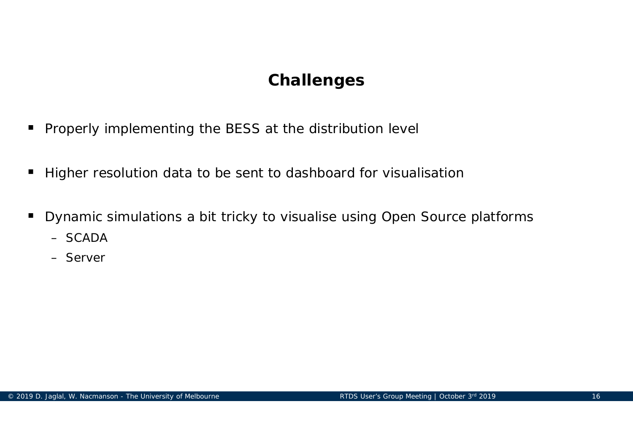# **Challenges**

- $\blacksquare$ Properly implementing the BESS at the distribution level
- $\blacksquare$ Higher resolution data to be sent to dashboard for visualisation
- $\blacksquare$  Dynamic simulations a bit tricky to visualise using Open Source platforms
	- SCADA
	- Server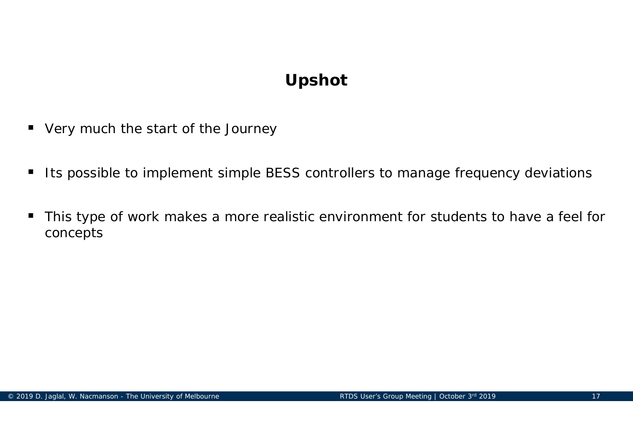# **Upshot**

- $\blacksquare$ Very much the start of the Journey
- $\blacksquare$ Its possible to implement simple BESS controllers to manage frequency deviations
- $\blacksquare$  This type of work makes a more realistic environment for students to have a feel for concepts